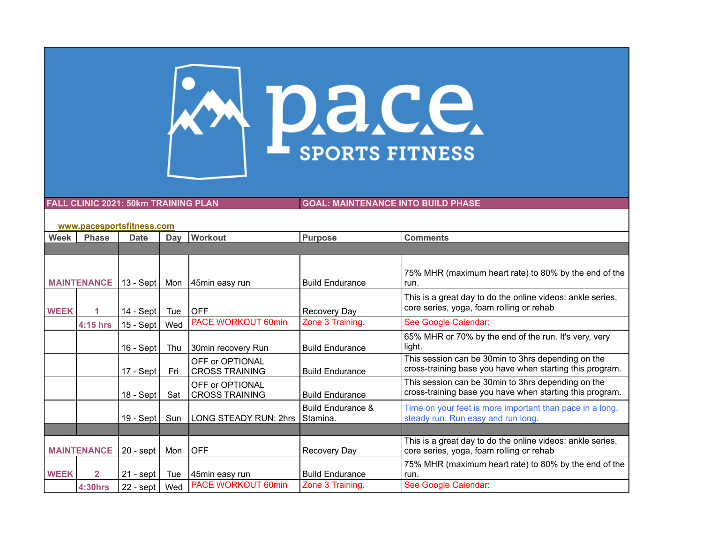

**FALL CLINIC 2021: 50km TRAINING PLAN GOAL: MAINTENANCE INTO BUILD PHASE**

| www.pacesportsfitness.com |                |               |     |                                          |                                          |                                                                                                                |  |  |
|---------------------------|----------------|---------------|-----|------------------------------------------|------------------------------------------|----------------------------------------------------------------------------------------------------------------|--|--|
| Week                      | <b>Phase</b>   | <b>Date</b>   | Day | Workout                                  | <b>Purpose</b>                           | <b>Comments</b>                                                                                                |  |  |
|                           |                |               |     |                                          |                                          |                                                                                                                |  |  |
|                           |                |               |     |                                          |                                          |                                                                                                                |  |  |
| <b>MAINTENANCE</b>        |                | 13 - Sept $ $ | Mon | 45min easy run                           | <b>Build Endurance</b>                   | 75% MHR (maximum heart rate) to 80% by the end of the<br>run.                                                  |  |  |
| <b>WEEK</b>               |                | $14 - Sept$   | Tue | <b>OFF</b>                               | Recovery Day                             | This is a great day to do the online videos: ankle series,<br>core series, yoga, foam rolling or rehab         |  |  |
|                           | 4:15 hrs       | $15 - Sept$   | Wed | <b>PACE WORKOUT 60min</b>                | Zone 3 Training.                         | See Google Calendar:                                                                                           |  |  |
|                           |                | $16 - Sept$   | Thu | 30min recovery Run                       | <b>Build Endurance</b>                   | 65% MHR or 70% by the end of the run. It's very, very<br>light.                                                |  |  |
|                           |                | $17 - Sept$   | Fri | OFF or OPTIONAL<br><b>CROSS TRAINING</b> | <b>Build Endurance</b>                   | This session can be 30min to 3hrs depending on the<br>cross-training base you have when starting this program. |  |  |
|                           |                | $18 - Sept$   | Sat | OFF or OPTIONAL<br><b>CROSS TRAINING</b> | <b>Build Endurance</b>                   | This session can be 30min to 3hrs depending on the<br>cross-training base you have when starting this program. |  |  |
|                           |                | 19 - Sept     | Sun | LONG STEADY RUN: 2hrs                    | <b>Build Endurance &amp;</b><br>Stamina. | Time on your feet is more important than pace in a long,<br>steady run. Run easy and run long.                 |  |  |
|                           |                |               |     |                                          |                                          |                                                                                                                |  |  |
| <b>MAINTENANCE</b>        |                | $20 -$ sept   | Mon | <b>OFF</b>                               | Recovery Day                             | This is a great day to do the online videos: ankle series,<br>core series, yoga, foam rolling or rehab         |  |  |
| <b>WEEK</b>               | $\overline{2}$ | $21 -$ sept   | Tue | 45min easy run                           | <b>Build Endurance</b>                   | 75% MHR (maximum heart rate) to 80% by the end of the<br>run.                                                  |  |  |
|                           | <b>4:30hrs</b> | $22 -$ sept   | Wed | PACE WORKOUT 60min                       | Zone 3 Training.                         | See Google Calendar:                                                                                           |  |  |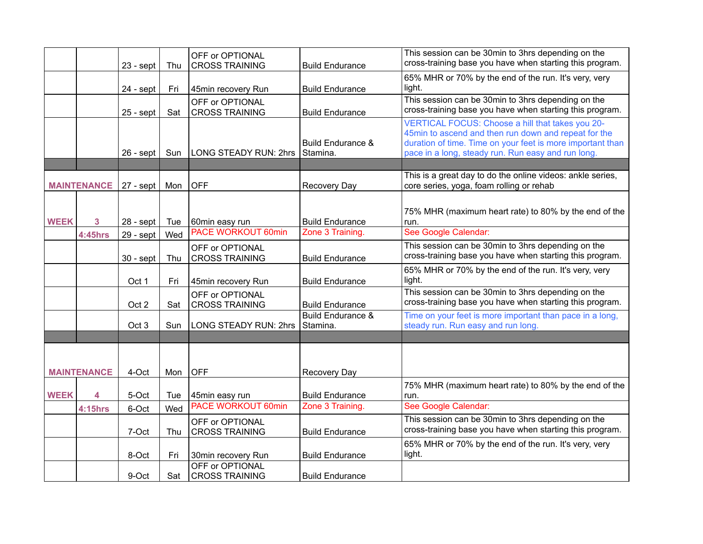|             |                    | $23 - sept$      | Thu | OFF or OPTIONAL<br><b>CROSS TRAINING</b> | <b>Build Endurance</b>                     | This session can be 30min to 3hrs depending on the<br>cross-training base you have when starting this program.                                                                                                               |
|-------------|--------------------|------------------|-----|------------------------------------------|--------------------------------------------|------------------------------------------------------------------------------------------------------------------------------------------------------------------------------------------------------------------------------|
|             |                    |                  |     |                                          |                                            | 65% MHR or 70% by the end of the run. It's very, very                                                                                                                                                                        |
|             |                    | $24 - sept$      | Fri | 45min recovery Run                       | <b>Build Endurance</b>                     | light.                                                                                                                                                                                                                       |
|             |                    | $25 -$ sept      | Sat | OFF or OPTIONAL<br><b>CROSS TRAINING</b> | <b>Build Endurance</b>                     | This session can be 30min to 3hrs depending on the<br>cross-training base you have when starting this program.                                                                                                               |
|             |                    | $26 - sept$      | Sun | <b>LONG STEADY RUN: 2hrs</b>             | <b>Build Endurance &amp;</b><br>Stamina.   | VERTICAL FOCUS: Choose a hill that takes you 20-<br>45min to ascend and then run down and repeat for the<br>duration of time. Time on your feet is more important than<br>pace in a long, steady run. Run easy and run long. |
|             |                    |                  |     |                                          |                                            | This is a great day to do the online videos: ankle series,                                                                                                                                                                   |
|             | <b>MAINTENANCE</b> | $27 -$ sept      | Mon | <b>OFF</b>                               | <b>Recovery Day</b>                        | core series, yoga, foam rolling or rehab                                                                                                                                                                                     |
| <b>WEEK</b> | 3                  | $28 - sept$      | Tue | 60min easy run<br>PACE WORKOUT 60min     | <b>Build Endurance</b><br>Zone 3 Training. | 75% MHR (maximum heart rate) to 80% by the end of the<br>run.<br>See Google Calendar:                                                                                                                                        |
|             | <b>4:45hrs</b>     | $29 - sept$      | Wed |                                          |                                            |                                                                                                                                                                                                                              |
|             |                    | $30 -$ sept      | Thu | OFF or OPTIONAL<br><b>CROSS TRAINING</b> | <b>Build Endurance</b>                     | This session can be 30min to 3hrs depending on the<br>cross-training base you have when starting this program.                                                                                                               |
|             |                    | Oct 1            | Fri | 45min recovery Run                       | <b>Build Endurance</b>                     | 65% MHR or 70% by the end of the run. It's very, very<br>light.                                                                                                                                                              |
|             |                    | Oct 2            | Sat | OFF or OPTIONAL<br><b>CROSS TRAINING</b> | <b>Build Endurance</b>                     | This session can be 30min to 3hrs depending on the<br>cross-training base you have when starting this program.                                                                                                               |
|             |                    | Oct <sub>3</sub> | Sun | <b>LONG STEADY RUN: 2hrs</b>             | <b>Build Endurance &amp;</b><br>Stamina.   | Time on your feet is more important than pace in a long,<br>steady run. Run easy and run long.                                                                                                                               |
|             |                    |                  |     |                                          |                                            |                                                                                                                                                                                                                              |
|             | <b>MAINTENANCE</b> | 4-Oct            | Mon | <b>OFF</b>                               | Recovery Day                               |                                                                                                                                                                                                                              |
|             |                    |                  |     |                                          |                                            | 75% MHR (maximum heart rate) to 80% by the end of the                                                                                                                                                                        |
| <b>WEEK</b> | 4                  | 5-Oct            | Tue | 45min easy run                           | <b>Build Endurance</b>                     | run.                                                                                                                                                                                                                         |
|             | <b>4:15hrs</b>     | 6-Oct            | Wed | <b>PACE WORKOUT 60min</b>                | Zone 3 Training.                           | See Google Calendar:                                                                                                                                                                                                         |
|             |                    | 7-Oct            | Thu | OFF or OPTIONAL<br><b>CROSS TRAINING</b> | <b>Build Endurance</b>                     | This session can be 30min to 3hrs depending on the<br>cross-training base you have when starting this program.                                                                                                               |
|             |                    | 8-Oct            | Fri | 30min recovery Run                       | <b>Build Endurance</b>                     | 65% MHR or 70% by the end of the run. It's very, very<br>light.                                                                                                                                                              |
|             |                    | 9-Oct            | Sat | OFF or OPTIONAL<br><b>CROSS TRAINING</b> | <b>Build Endurance</b>                     |                                                                                                                                                                                                                              |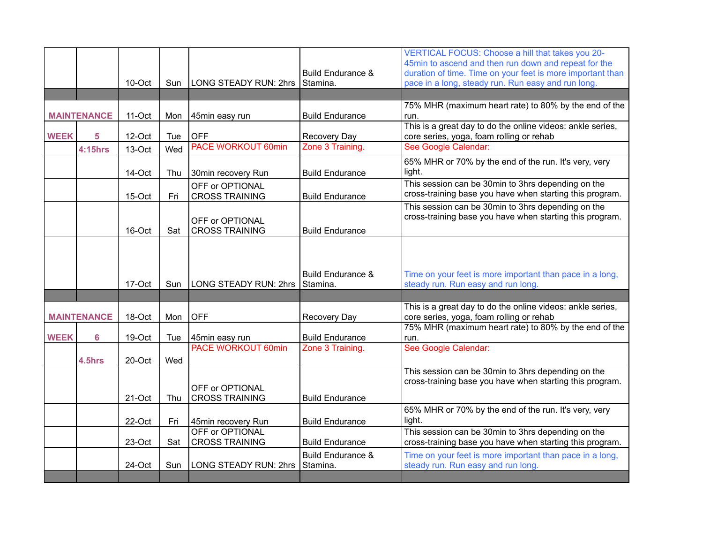|             |                    |        |            |                                                 |                                          | VERTICAL FOCUS: Choose a hill that takes you 20-<br>45min to ascend and then run down and repeat for the         |
|-------------|--------------------|--------|------------|-------------------------------------------------|------------------------------------------|------------------------------------------------------------------------------------------------------------------|
|             |                    | 10-Oct | <b>Sun</b> | LONG STEADY RUN: 2hrs                           | <b>Build Endurance &amp;</b><br>Stamina. | duration of time. Time on your feet is more important than<br>pace in a long, steady run. Run easy and run long. |
|             |                    |        |            |                                                 |                                          |                                                                                                                  |
|             |                    |        |            |                                                 |                                          | 75% MHR (maximum heart rate) to 80% by the end of the                                                            |
|             | <b>MAINTENANCE</b> | 11-Oct | Mon        | 45min easy run                                  | <b>Build Endurance</b>                   | run.                                                                                                             |
| <b>WEEK</b> | 5                  | 12-Oct | Tue        | <b>OFF</b>                                      | Recovery Day                             | This is a great day to do the online videos: ankle series,<br>core series, yoga, foam rolling or rehab           |
|             | <b>4:15hrs</b>     | 13-Oct | Wed        | <b>PACE WORKOUT 60min</b>                       | Zone 3 Training.                         | See Google Calendar:                                                                                             |
|             |                    | 14-Oct | Thu        | 30min recovery Run                              | <b>Build Endurance</b>                   | 65% MHR or 70% by the end of the run. It's very, very<br>light.                                                  |
|             |                    | 15-Oct | Fri        | OFF or OPTIONAL<br><b>CROSS TRAINING</b>        | <b>Build Endurance</b>                   | This session can be 30min to 3hrs depending on the<br>cross-training base you have when starting this program.   |
|             |                    | 16-Oct | Sat        | OFF or OPTIONAL<br><b>CROSS TRAINING</b>        | <b>Build Endurance</b>                   | This session can be 30min to 3hrs depending on the<br>cross-training base you have when starting this program.   |
|             |                    |        |            |                                                 |                                          |                                                                                                                  |
|             |                    |        |            |                                                 |                                          |                                                                                                                  |
|             |                    | 17-Oct | Sun        | <b>LONG STEADY RUN: 2hrs</b>                    | <b>Build Endurance &amp;</b><br>Stamina. | Time on your feet is more important than pace in a long,<br>steady run. Run easy and run long.                   |
|             |                    |        |            |                                                 |                                          |                                                                                                                  |
|             | <b>MAINTENANCE</b> | 18-Oct | Mon        | <b>OFF</b>                                      | Recovery Day                             | This is a great day to do the online videos: ankle series,<br>core series, yoga, foam rolling or rehab           |
| <b>WEEK</b> | $6\phantom{a}6$    | 19-Oct | Tue        | 45min easy run                                  | <b>Build Endurance</b>                   | 75% MHR (maximum heart rate) to 80% by the end of the<br>run.                                                    |
|             |                    |        |            | <b>PACE WORKOUT 60min</b>                       | Zone 3 Training.                         | See Google Calendar:                                                                                             |
|             | 4.5hrs             | 20-Oct | Wed        |                                                 |                                          |                                                                                                                  |
|             |                    | 21-Oct | Thu        | OFF or OPTIONAL<br><b>CROSS TRAINING</b>        | <b>Build Endurance</b>                   | This session can be 30min to 3hrs depending on the<br>cross-training base you have when starting this program.   |
|             |                    | 22-Oct | Fri        | 45min recovery Run                              | <b>Build Endurance</b>                   | 65% MHR or 70% by the end of the run. It's very, very<br>light.                                                  |
|             |                    | 23-Oct | Sat        | <b>OFF or OPTIONAL</b><br><b>CROSS TRAINING</b> | <b>Build Endurance</b>                   | This session can be 30min to 3hrs depending on the<br>cross-training base you have when starting this program.   |
|             |                    | 24-Oct | Sun        | <b>LONG STEADY RUN: 2hrs</b>                    | <b>Build Endurance &amp;</b><br>Stamina. | Time on your feet is more important than pace in a long,<br>steady run. Run easy and run long.                   |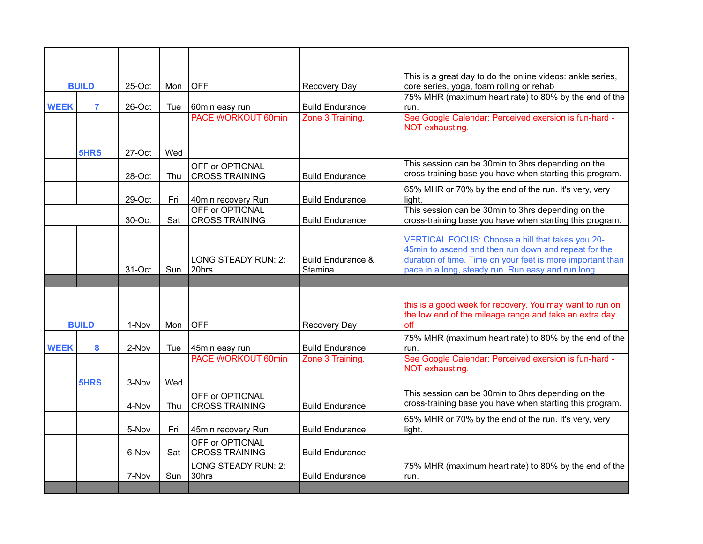|              |                |            |     |                                          |                                          | This is a great day to do the online videos: ankle series,                                                                                                                                                                   |
|--------------|----------------|------------|-----|------------------------------------------|------------------------------------------|------------------------------------------------------------------------------------------------------------------------------------------------------------------------------------------------------------------------------|
| <b>BUILD</b> |                | $25$ -Oct  | Mon | <b>OFF</b>                               | Recovery Day                             | core series, yoga, foam rolling or rehab                                                                                                                                                                                     |
|              |                |            |     |                                          |                                          | 75% MHR (maximum heart rate) to 80% by the end of the                                                                                                                                                                        |
| <b>WEEK</b>  | $\overline{7}$ | 26-Oct     | Tue | 60min easy run                           | <b>Build Endurance</b>                   | run.                                                                                                                                                                                                                         |
|              |                |            |     | <b>PACE WORKOUT 60min</b>                | Zone 3 Training.                         | See Google Calendar: Perceived exersion is fun-hard -<br>NOT exhausting.                                                                                                                                                     |
|              | <b>5HRS</b>    | $27 - Oct$ | Wed |                                          |                                          |                                                                                                                                                                                                                              |
|              |                | 28-Oct     | Thu | OFF or OPTIONAL<br><b>CROSS TRAINING</b> | <b>Build Endurance</b>                   | This session can be 30min to 3hrs depending on the<br>cross-training base you have when starting this program.                                                                                                               |
|              |                | 29-Oct     | Fri | 40min recovery Run                       | <b>Build Endurance</b>                   | 65% MHR or 70% by the end of the run. It's very, very<br>light.                                                                                                                                                              |
|              |                | 30-Oct     | Sat | OFF or OPTIONAL<br><b>CROSS TRAINING</b> | <b>Build Endurance</b>                   | This session can be 30min to 3hrs depending on the<br>cross-training base you have when starting this program.                                                                                                               |
|              |                | 31-Oct     | Sun | <b>LONG STEADY RUN: 2:</b><br>20hrs      | <b>Build Endurance &amp;</b><br>Stamina. | VERTICAL FOCUS: Choose a hill that takes you 20-<br>45min to ascend and then run down and repeat for the<br>duration of time. Time on your feet is more important than<br>pace in a long, steady run. Run easy and run long. |
|              |                |            |     |                                          |                                          |                                                                                                                                                                                                                              |
|              |                |            |     |                                          |                                          |                                                                                                                                                                                                                              |
|              | <b>BUILD</b>   | 1-Nov      | Mon | <b>OFF</b>                               | <b>Recovery Day</b>                      | this is a good week for recovery. You may want to run on<br>the low end of the mileage range and take an extra day<br>off                                                                                                    |
|              |                |            |     |                                          |                                          | 75% MHR (maximum heart rate) to 80% by the end of the                                                                                                                                                                        |
| <b>WEEK</b>  | 8              | 2-Nov      | Tue | 45min easy run                           | <b>Build Endurance</b>                   | run.                                                                                                                                                                                                                         |
|              |                |            |     | <b>PACE WORKOUT 60min</b>                | Zone 3 Training.                         | See Google Calendar: Perceived exersion is fun-hard -<br>NOT exhausting.                                                                                                                                                     |
|              | <b>5HRS</b>    | 3-Nov      | Wed |                                          |                                          |                                                                                                                                                                                                                              |
|              |                | 4-Nov      | Thu | OFF or OPTIONAL<br><b>CROSS TRAINING</b> | <b>Build Endurance</b>                   | This session can be 30min to 3hrs depending on the<br>cross-training base you have when starting this program.                                                                                                               |
|              |                | 5-Nov      | Fri | 45min recovery Run                       | <b>Build Endurance</b>                   | 65% MHR or 70% by the end of the run. It's very, very<br>light.                                                                                                                                                              |
|              |                | 6-Nov      | Sat | OFF or OPTIONAL<br><b>CROSS TRAINING</b> | <b>Build Endurance</b>                   |                                                                                                                                                                                                                              |
|              |                | 7-Nov      | Sun | LONG STEADY RUN: 2:<br>30hrs             | <b>Build Endurance</b>                   | 75% MHR (maximum heart rate) to 80% by the end of the<br>run.                                                                                                                                                                |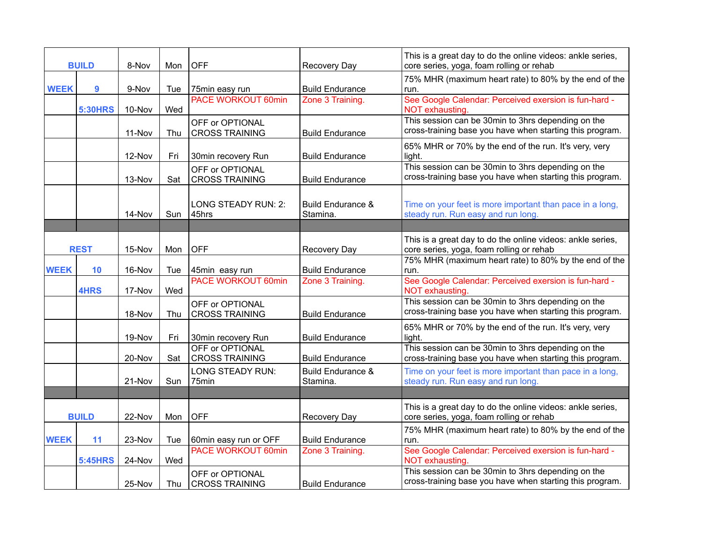| <b>BUILD</b> |                | 8-Nov  | Mon | <b>OFF</b>                               | <b>Recovery Day</b>                      | This is a great day to do the online videos: ankle series,<br>core series, yoga, foam rolling or rehab         |
|--------------|----------------|--------|-----|------------------------------------------|------------------------------------------|----------------------------------------------------------------------------------------------------------------|
| <b>WEEK</b>  | 9              | 9-Nov  | Tue | 75min easy run                           | <b>Build Endurance</b>                   | 75% MHR (maximum heart rate) to 80% by the end of the<br>run.                                                  |
|              | <b>5:30HRS</b> | 10-Nov | Wed | <b>PACE WORKOUT 60min</b>                | Zone 3 Training.                         | See Google Calendar: Perceived exersion is fun-hard -<br>NOT exhausting.                                       |
|              |                | 11-Nov | Thu | OFF or OPTIONAL<br><b>CROSS TRAINING</b> | <b>Build Endurance</b>                   | This session can be 30min to 3hrs depending on the<br>cross-training base you have when starting this program. |
|              |                | 12-Nov | Fri | 30min recovery Run                       | <b>Build Endurance</b>                   | 65% MHR or 70% by the end of the run. It's very, very<br>light.                                                |
|              |                | 13-Nov | Sat | OFF or OPTIONAL<br><b>CROSS TRAINING</b> | <b>Build Endurance</b>                   | This session can be 30min to 3hrs depending on the<br>cross-training base you have when starting this program. |
|              |                | 14-Nov | Sun | LONG STEADY RUN: 2:<br>45hrs             | <b>Build Endurance &amp;</b><br>Stamina. | Time on your feet is more important than pace in a long,<br>steady run. Run easy and run long.                 |
|              |                |        |     |                                          |                                          |                                                                                                                |
|              | <b>REST</b>    | 15-Nov | Mon | <b>OFF</b>                               | Recovery Day                             | This is a great day to do the online videos: ankle series,<br>core series, yoga, foam rolling or rehab         |
| <b>WEEK</b>  | 10             | 16-Nov | Tue | 45min easy run                           | <b>Build Endurance</b>                   | 75% MHR (maximum heart rate) to 80% by the end of the<br>run.                                                  |
|              | <b>4HRS</b>    | 17-Nov | Wed | <b>PACE WORKOUT 60min</b>                | Zone 3 Training.                         | See Google Calendar: Perceived exersion is fun-hard -<br>NOT exhausting.                                       |
|              |                | 18-Nov | Thu | OFF or OPTIONAL<br><b>CROSS TRAINING</b> | <b>Build Endurance</b>                   | This session can be 30min to 3hrs depending on the<br>cross-training base you have when starting this program. |
|              |                | 19-Nov | Fri | 30min recovery Run                       | <b>Build Endurance</b>                   | 65% MHR or 70% by the end of the run. It's very, very<br>light.                                                |
|              |                | 20-Nov | Sat | OFF or OPTIONAL<br><b>CROSS TRAINING</b> | <b>Build Endurance</b>                   | This session can be 30min to 3hrs depending on the<br>cross-training base you have when starting this program. |
|              |                | 21-Nov | Sun | <b>LONG STEADY RUN:</b><br>75min         | <b>Build Endurance &amp;</b><br>Stamina. | Time on your feet is more important than pace in a long,<br>steady run. Run easy and run long.                 |
|              |                |        |     |                                          |                                          |                                                                                                                |
|              | <b>BUILD</b>   | 22-Nov | Mon | <b>OFF</b>                               | <b>Recovery Day</b>                      | This is a great day to do the online videos: ankle series,<br>core series, yoga, foam rolling or rehab         |
| <b>WEEK</b>  | 11             | 23-Nov | Tue | 60min easy run or OFF                    | <b>Build Endurance</b>                   | 75% MHR (maximum heart rate) to 80% by the end of the<br>run.                                                  |
|              | <b>5:45HRS</b> | 24-Nov | Wed | <b>PACE WORKOUT 60min</b>                | Zone 3 Training.                         | See Google Calendar: Perceived exersion is fun-hard -<br>NOT exhausting.                                       |
|              |                | 25-Nov | Thu | OFF or OPTIONAL<br><b>CROSS TRAINING</b> | <b>Build Endurance</b>                   | This session can be 30min to 3hrs depending on the<br>cross-training base you have when starting this program. |